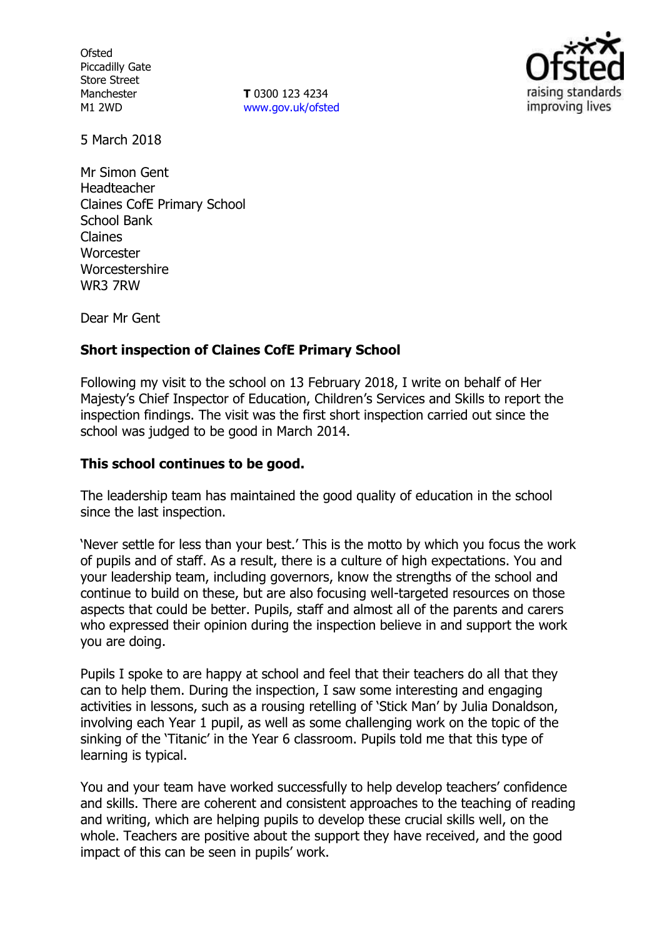**Ofsted** Piccadilly Gate Store Street Manchester M1 2WD

**T** 0300 123 4234 www.gov.uk/ofsted



5 March 2018

Mr Simon Gent Headteacher Claines CofE Primary School School Bank Claines **Worcester** Worcestershire WR3 7RW

Dear Mr Gent

## **Short inspection of Claines CofE Primary School**

Following my visit to the school on 13 February 2018, I write on behalf of Her Majesty's Chief Inspector of Education, Children's Services and Skills to report the inspection findings. The visit was the first short inspection carried out since the school was judged to be good in March 2014.

### **This school continues to be good.**

The leadership team has maintained the good quality of education in the school since the last inspection.

'Never settle for less than your best.' This is the motto by which you focus the work of pupils and of staff. As a result, there is a culture of high expectations. You and your leadership team, including governors, know the strengths of the school and continue to build on these, but are also focusing well-targeted resources on those aspects that could be better. Pupils, staff and almost all of the parents and carers who expressed their opinion during the inspection believe in and support the work you are doing.

Pupils I spoke to are happy at school and feel that their teachers do all that they can to help them. During the inspection, I saw some interesting and engaging activities in lessons, such as a rousing retelling of 'Stick Man' by Julia Donaldson, involving each Year 1 pupil, as well as some challenging work on the topic of the sinking of the 'Titanic' in the Year 6 classroom. Pupils told me that this type of learning is typical.

You and your team have worked successfully to help develop teachers' confidence and skills. There are coherent and consistent approaches to the teaching of reading and writing, which are helping pupils to develop these crucial skills well, on the whole. Teachers are positive about the support they have received, and the good impact of this can be seen in pupils' work.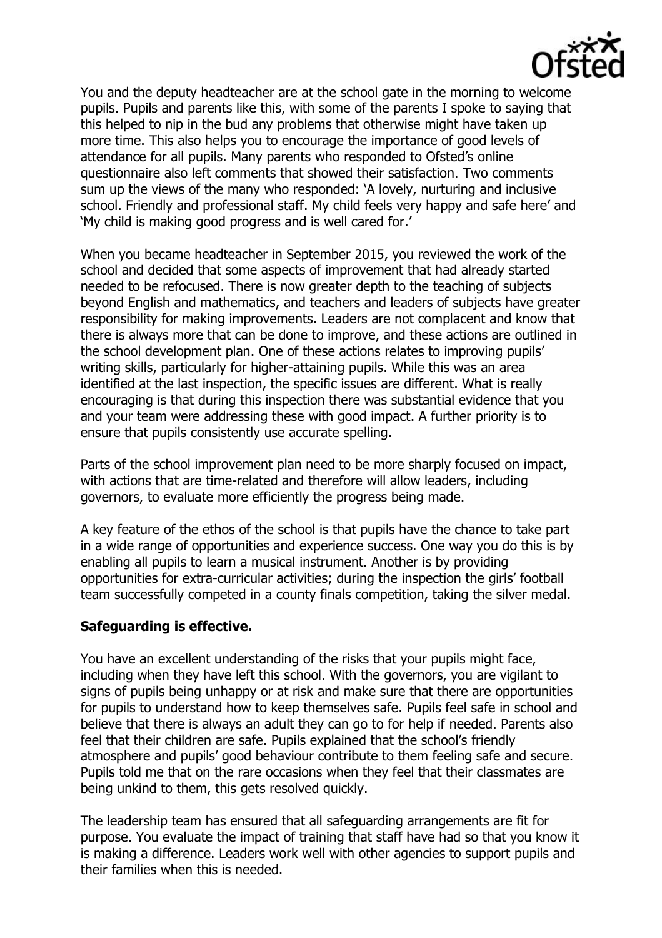

You and the deputy headteacher are at the school gate in the morning to welcome pupils. Pupils and parents like this, with some of the parents I spoke to saying that this helped to nip in the bud any problems that otherwise might have taken up more time. This also helps you to encourage the importance of good levels of attendance for all pupils. Many parents who responded to Ofsted's online questionnaire also left comments that showed their satisfaction. Two comments sum up the views of the many who responded: 'A lovely, nurturing and inclusive school. Friendly and professional staff. My child feels very happy and safe here' and 'My child is making good progress and is well cared for.'

When you became headteacher in September 2015, you reviewed the work of the school and decided that some aspects of improvement that had already started needed to be refocused. There is now greater depth to the teaching of subjects beyond English and mathematics, and teachers and leaders of subjects have greater responsibility for making improvements. Leaders are not complacent and know that there is always more that can be done to improve, and these actions are outlined in the school development plan. One of these actions relates to improving pupils' writing skills, particularly for higher-attaining pupils. While this was an area identified at the last inspection, the specific issues are different. What is really encouraging is that during this inspection there was substantial evidence that you and your team were addressing these with good impact. A further priority is to ensure that pupils consistently use accurate spelling.

Parts of the school improvement plan need to be more sharply focused on impact, with actions that are time-related and therefore will allow leaders, including governors, to evaluate more efficiently the progress being made.

A key feature of the ethos of the school is that pupils have the chance to take part in a wide range of opportunities and experience success. One way you do this is by enabling all pupils to learn a musical instrument. Another is by providing opportunities for extra-curricular activities; during the inspection the girls' football team successfully competed in a county finals competition, taking the silver medal.

### **Safeguarding is effective.**

You have an excellent understanding of the risks that your pupils might face, including when they have left this school. With the governors, you are vigilant to signs of pupils being unhappy or at risk and make sure that there are opportunities for pupils to understand how to keep themselves safe. Pupils feel safe in school and believe that there is always an adult they can go to for help if needed. Parents also feel that their children are safe. Pupils explained that the school's friendly atmosphere and pupils' good behaviour contribute to them feeling safe and secure. Pupils told me that on the rare occasions when they feel that their classmates are being unkind to them, this gets resolved quickly.

The leadership team has ensured that all safeguarding arrangements are fit for purpose. You evaluate the impact of training that staff have had so that you know it is making a difference. Leaders work well with other agencies to support pupils and their families when this is needed.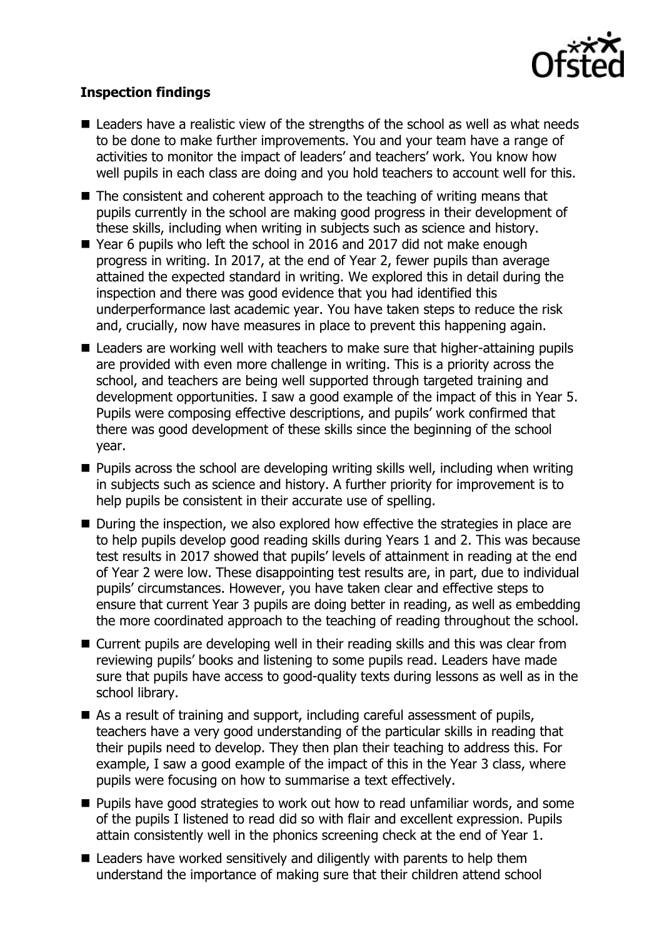

# **Inspection findings**

- $\blacksquare$  Leaders have a realistic view of the strengths of the school as well as what needs to be done to make further improvements. You and your team have a range of activities to monitor the impact of leaders' and teachers' work. You know how well pupils in each class are doing and you hold teachers to account well for this.
- The consistent and coherent approach to the teaching of writing means that pupils currently in the school are making good progress in their development of these skills, including when writing in subjects such as science and history.
- Year 6 pupils who left the school in 2016 and 2017 did not make enough progress in writing. In 2017, at the end of Year 2, fewer pupils than average attained the expected standard in writing. We explored this in detail during the inspection and there was good evidence that you had identified this underperformance last academic year. You have taken steps to reduce the risk and, crucially, now have measures in place to prevent this happening again.
- Leaders are working well with teachers to make sure that higher-attaining pupils are provided with even more challenge in writing. This is a priority across the school, and teachers are being well supported through targeted training and development opportunities. I saw a good example of the impact of this in Year 5. Pupils were composing effective descriptions, and pupils' work confirmed that there was good development of these skills since the beginning of the school year.
- **Pupils across the school are developing writing skills well, including when writing** in subjects such as science and history. A further priority for improvement is to help pupils be consistent in their accurate use of spelling.
- During the inspection, we also explored how effective the strategies in place are to help pupils develop good reading skills during Years 1 and 2. This was because test results in 2017 showed that pupils' levels of attainment in reading at the end of Year 2 were low. These disappointing test results are, in part, due to individual pupils' circumstances. However, you have taken clear and effective steps to ensure that current Year 3 pupils are doing better in reading, as well as embedding the more coordinated approach to the teaching of reading throughout the school.
- Current pupils are developing well in their reading skills and this was clear from reviewing pupils' books and listening to some pupils read. Leaders have made sure that pupils have access to good-quality texts during lessons as well as in the school library.
- As a result of training and support, including careful assessment of pupils, teachers have a very good understanding of the particular skills in reading that their pupils need to develop. They then plan their teaching to address this. For example, I saw a good example of the impact of this in the Year 3 class, where pupils were focusing on how to summarise a text effectively.
- **Pupils have good strategies to work out how to read unfamiliar words, and some** of the pupils I listened to read did so with flair and excellent expression. Pupils attain consistently well in the phonics screening check at the end of Year 1.
- Leaders have worked sensitively and diligently with parents to help them understand the importance of making sure that their children attend school